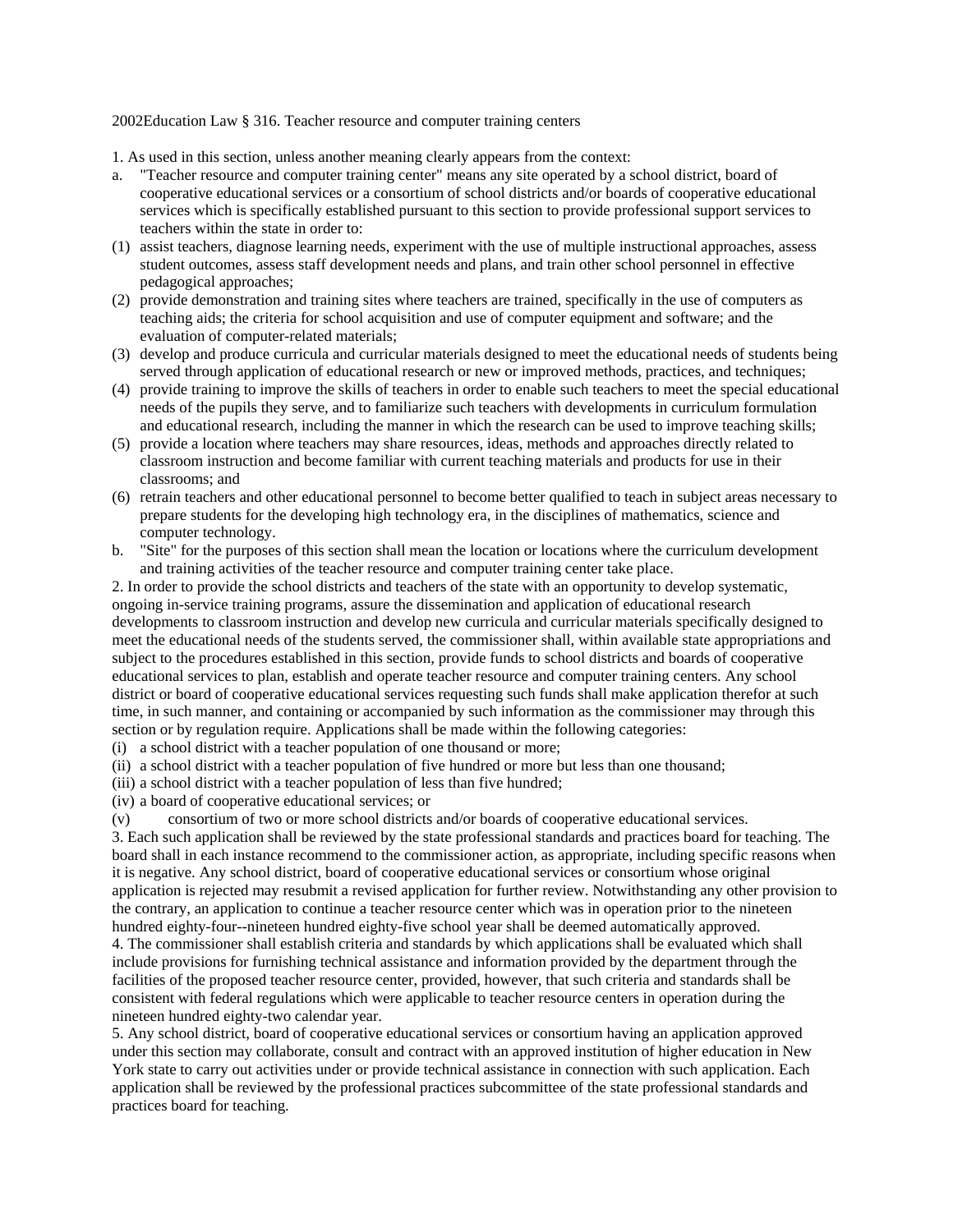## 2002Education Law § 316. Teacher resource and computer training centers

1. As used in this section, unless another meaning clearly appears from the context:

- a. "Teacher resource and computer training center" means any site operated by a school district, board of cooperative educational services or a consortium of school districts and/or boards of cooperative educational services which is specifically established pursuant to this section to provide professional support services to teachers within the state in order to:
- pedagogical approaches; (1) assist teachers, diagnose learning needs, experiment with the use of multiple instructional approaches, assess student outcomes, assess staff development needs and plans, and train other school personnel in effective
- (2) provide demonstration and training sites where teachers are trained, specifically in the use of computers as teaching aids; the criteria for school acquisition and use of computer equipment and software; and the evaluation of computer-related materials;
- served through application of educational research or new or improved methods, practices, and techniques; (3) develop and produce curricula and curricular materials designed to meet the educational needs of students being
- (4) provide training to improve the skills of teachers in order to enable such teachers to meet the special educational needs of the pupils they serve, and to familiarize such teachers with developments in curriculum formulation and educational research, including the manner in which the research can be used to improve teaching skills;
- (5) provide a location where teachers may share resources, ideas, methods and approaches directly related to classroom instruction and become familiar with current teaching materials and products for use in their classrooms; and
- computer technology. (6) retrain teachers and other educational personnel to become better qualified to teach in subject areas necessary to prepare students for the developing high technology era, in the disciplines of mathematics, science and
- b. "Site" for the purposes of this section shall mean the location or locations where the curriculum development and training activities of the teacher resource and computer training center take place.

 ongoing in-service training programs, assure the dissemination and application of educational research district or board of cooperative educational services requesting such funds shall make application therefor at such section or by regulation require. Applications shall be made within the following categories: 2. In order to provide the school districts and teachers of the state with an opportunity to develop systematic, developments to classroom instruction and develop new curricula and curricular materials specifically designed to meet the educational needs of the students served, the commissioner shall, within available state appropriations and subject to the procedures established in this section, provide funds to school districts and boards of cooperative educational services to plan, establish and operate teacher resource and computer training centers. Any school time, in such manner, and containing or accompanied by such information as the commissioner may through this

 $(i)$  a school district with a teacher population of one thousand or more;

(ii) a school district with a teacher population of five hundred or more but less than one thousand;

(iii) a school district with a teacher population of less than five hundred;

(iv) a board of cooperative educational services; or

(v) consortium of two or more school districts and/or boards of cooperative educational services.

 application is rejected may resubmit a revised application for further review. Notwithstanding any other provision to the contrary, an application to continue a teacher resource center which was in operation prior to the nineteen 3. Each such application shall be reviewed by the state professional standards and practices board for teaching. The board shall in each instance recommend to the commissioner action, as appropriate, including specific reasons when it is negative. Any school district, board of cooperative educational services or consortium whose original hundred eighty-four--nineteen hundred eighty-five school year shall be deemed automatically approved.

4. The commissioner shall establish criteria and standards by which applications shall be evaluated which shall include provisions for furnishing technical assistance and information provided by the department through the facilities of the proposed teacher resource center, provided, however, that such criteria and standards shall be consistent with federal regulations which were applicable to teacher resource centers in operation during the nineteen hundred eighty-two calendar year.

 under this section may collaborate, consult and contract with an approved institution of higher education in New 5. Any school district, board of cooperative educational services or consortium having an application approved York state to carry out activities under or provide technical assistance in connection with such application. Each application shall be reviewed by the professional practices subcommittee of the state professional standards and practices board for teaching.